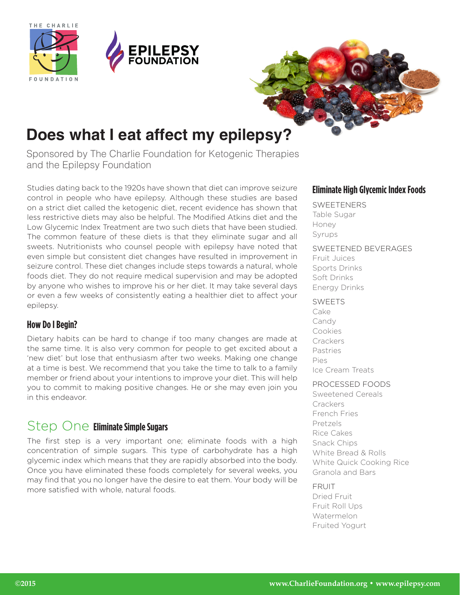





# **Does what I eat affect my epilepsy?**

Sponsored by The Charlie Foundation for Ketogenic Therapies and the Epilepsy Foundation

Studies dating back to the 1920s have shown that diet can improve seizure control in people who have epilepsy. Although these studies are based on a strict diet called the ketogenic diet, recent evidence has shown that less restrictive diets may also be helpful. The Modified Atkins diet and the Low Glycemic Index Treatment are two such diets that have been studied. The common feature of these diets is that they eliminate sugar and all sweets. Nutritionists who counsel people with epilepsy have noted that even simple but consistent diet changes have resulted in improvement in seizure control. These diet changes include steps towards a natural, whole foods diet. They do not require medical supervision and may be adopted by anyone who wishes to improve his or her diet. It may take several days or even a few weeks of consistently eating a healthier diet to affect your epilepsy.

### **How Do I Begin?**

Dietary habits can be hard to change if too many changes are made at the same time. It is also very common for people to get excited about a 'new diet' but lose that enthusiasm after two weeks. Making one change at a time is best. We recommend that you take the time to talk to a family member or friend about your intentions to improve your diet. This will help you to commit to making positive changes. He or she may even join you in this endeavor.

## Step One **Eliminate Simple Sugars**

The first step is a very important one; eliminate foods with a high concentration of simple sugars. This type of carbohydrate has a high glycemic index which means that they are rapidly absorbed into the body. Once you have eliminated these foods completely for several weeks, you may find that you no longer have the desire to eat them. Your body will be more satisfied with whole, natural foods.

### **Eliminate High Glycemic Index Foods**

#### **SWEETENERS**

Table Sugar Honey Syrups

#### SWEETENED BEVERAGES

Fruit Juices Sports Drinks Soft Drinks Energy Drinks

#### SWEETS

Cake Candy Cookies **Crackers** Pastries Pies Ice Cream Treats

#### PROCESSED FOODS

Sweetened Cereals **Crackers** French Fries Pretzels Rice Cakes Snack Chips White Bread & Rolls White Quick Cooking Rice Granola and Bars

#### **FRUIT**

Dried Fruit Fruit Roll Ups Watermelon Fruited Yogurt